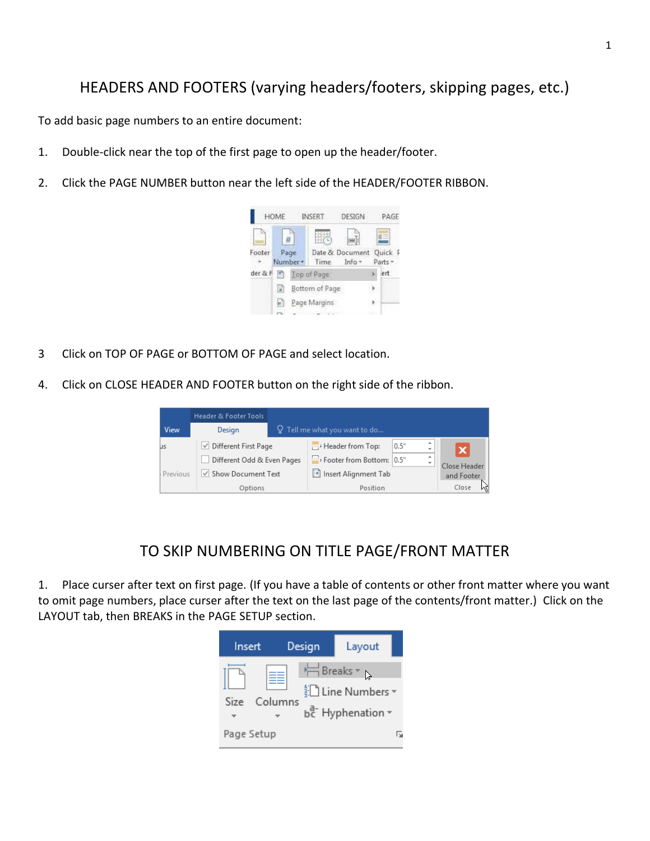## HEADERS AND FOOTERS (varying headers/footers, skipping pages, etc.)

To add basic page numbers to an entire document:

- 1. Double-click near the top of the first page to open up the header/footer.
- 2. Click the PAGE NUMBER button near the left side of the HEADER/FOOTER RIBBON.



- 3 Click on TOP OF PAGE or BOTTOM OF PAGE and select location.
- 4. Click on CLOSE HEADER AND FOOTER button on the right side of the ribbon.

|             | Header & Footer Tools       |  |                                 |            |                                                            |  |  |
|-------------|-----------------------------|--|---------------------------------|------------|------------------------------------------------------------|--|--|
| <b>View</b> | Design                      |  | $Q$ Tell me what you want to do |            |                                                            |  |  |
| us          | $\vee$ Different First Page |  | Header from Top:                | 0.5"       | ٠<br>$\boldsymbol{\mathsf{x}}$<br>$\overline{\phantom{a}}$ |  |  |
|             | Different Odd & Even Pages  |  | Footer from Bottom: 0.5"        |            | ٠<br>÷<br>Close Header                                     |  |  |
| Previous    | √ Show Document Text        |  | Insert Alignment Tab            | and Footer |                                                            |  |  |
|             | Options                     |  | Position                        | Close      |                                                            |  |  |

## TO SKIP NUMBERING ON TITLE PAGE/FRONT MATTER

1. Place curser after text on first page. (If you have a table of contents or other front matter where you want to omit page numbers, place curser after the text on the last page of the contents/front matter.) Click on the LAYOUT tab, then BREAKS in the PAGE SETUP section.

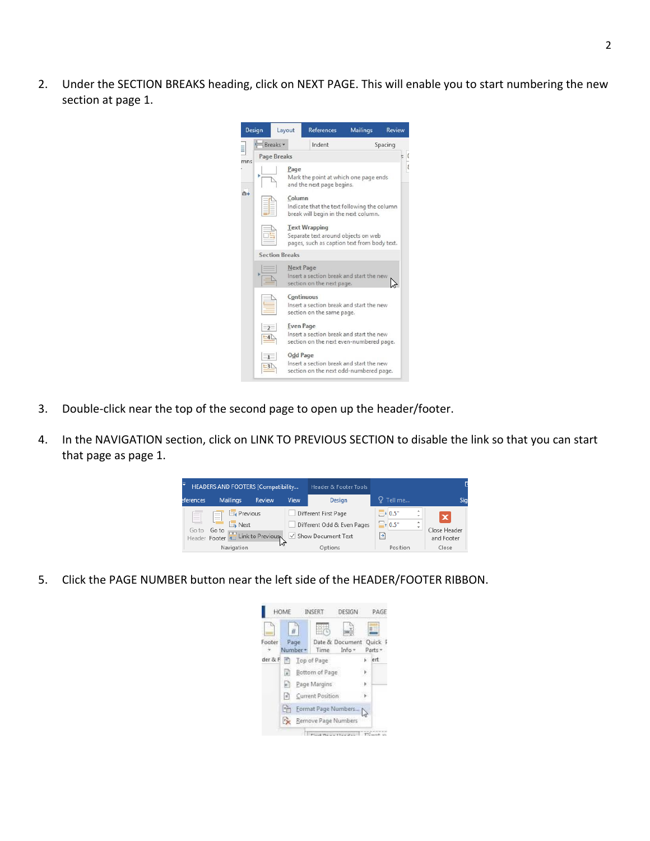2. Under the SECTION BREAKS heading, click on NEXT PAGE. This will enable you to start numbering the new section at page 1.



- 3. Double-click near the top of the second page to open up the header/footer.
- 4. In the NAVIGATION section, click on LINK TO PREVIOUS SECTION to disable the link so that you can start that page as page 1.

| Ξ<br>HEADERS AND FOOTERS [Compatibility |                                                                          |        |      | <b>Header &amp; Footer Tools</b>                   |                           |                                                |                            |
|-----------------------------------------|--------------------------------------------------------------------------|--------|------|----------------------------------------------------|---------------------------|------------------------------------------------|----------------------------|
| eferences.                              | <b>Mailings</b>                                                          | Review | View | Design                                             | Tell me                   |                                                | Sig                        |
| $\sim$                                  | $E_4$ Previous<br>$\overline{\phantom{a}}$<br>--<br>--<br><b>EL</b> Next |        |      | Different First Page<br>Different Odd & Even Pages | $-40.5$ "<br>$\Xi$ + 0.5" | ٠<br>$\overline{\phantom{a}}$<br>$\Delta$<br>٠ | $\boldsymbol{\mathsf{x}}$  |
| Goto                                    | Go to<br>Header Footer 1. Link to Previous                               |        |      | √ Show Document Text                               | Ð                         |                                                | Close Header<br>and Footer |
|                                         | Navigation                                                               |        | w    | Options                                            | Position                  |                                                | Close                      |

5. Click the PAGE NUMBER button near the left side of the HEADER/FOOTER RIBBON.

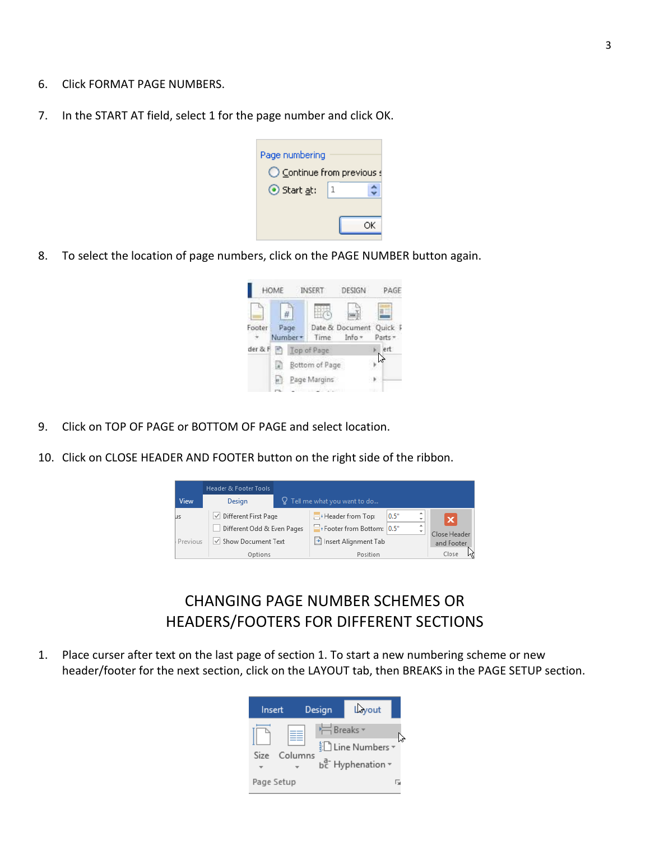- 6. Click FORMAT PAGE NUMBERS.
- 7. In the START AT field, select 1 for the page number and click OK.

| Page numbering           |   |  |  |  |  |  |
|--------------------------|---|--|--|--|--|--|
| Continue from previous s |   |  |  |  |  |  |
| ⊙ Start at:              | 1 |  |  |  |  |  |
|                          |   |  |  |  |  |  |

8. To select the location of page numbers, click on the PAGE NUMBER button again.



- 9. Click on TOP OF PAGE or BOTTOM OF PAGE and select location.
- 10. Click on CLOSE HEADER AND FOOTER button on the right side of the ribbon.



## CHANGING PAGE NUMBER SCHEMES OR HEADERS/FOOTERS FOR DIFFERENT SECTIONS

1. Place curser after text on the last page of section 1. To start a new numbering scheme or new header/footer for the next section, click on the LAYOUT tab, then BREAKS in the PAGE SETUP section.

| Insert     |         | Design     | Lyout                                 |   |
|------------|---------|------------|---------------------------------------|---|
| Size       | Columns | ← Breaks ▼ | ैं Line Numbers *<br>be Hyphenation ~ |   |
| Page Setup |         |            |                                       | Б |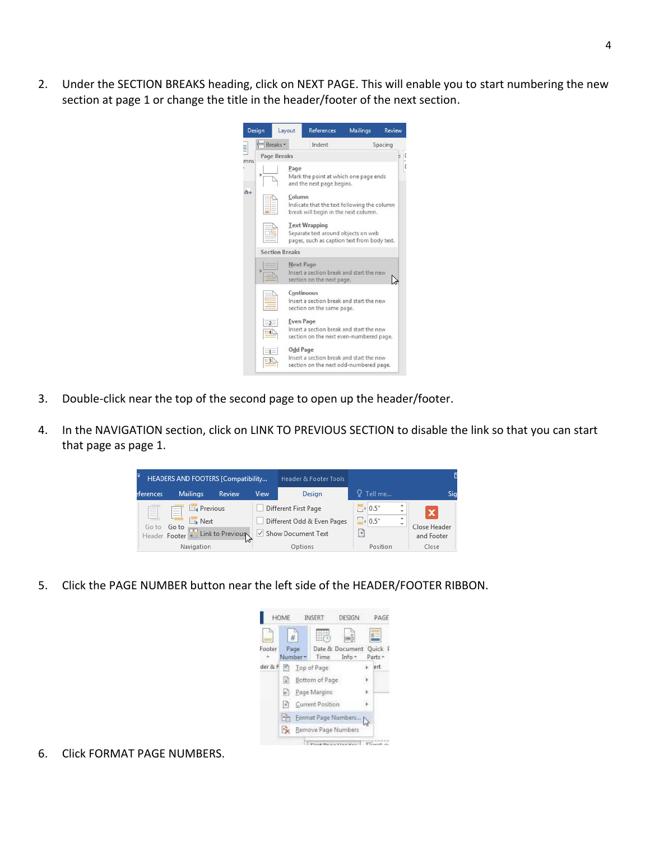2. Under the SECTION BREAKS heading, click on NEXT PAGE. This will enable you to start numbering the new section at page 1 or change the title in the header/footer of the next section.

|                   |                                                                                                                | Layout                                                                                                  |                                                                                           | References        | <b>Mailings</b> | Review |  |  |  |  |
|-------------------|----------------------------------------------------------------------------------------------------------------|---------------------------------------------------------------------------------------------------------|-------------------------------------------------------------------------------------------|-------------------|-----------------|--------|--|--|--|--|
|                   | Breaks -                                                                                                       |                                                                                                         |                                                                                           | Indent<br>Spacing |                 |        |  |  |  |  |
| Design<br>ns<br>u | <b>Page Breaks</b>                                                                                             |                                                                                                         |                                                                                           |                   |                 |        |  |  |  |  |
|                   |                                                                                                                | Page<br>Mark the point at which one page ends<br>and the next page begins.                              |                                                                                           |                   |                 |        |  |  |  |  |
|                   | Column<br>Indicate that the text following the column<br>break will begin in the next column.                  |                                                                                                         |                                                                                           |                   |                 |        |  |  |  |  |
|                   | <b>Text Wrapping</b><br>Separate text around objects on web<br>pages, such as caption text from body text.     |                                                                                                         |                                                                                           |                   |                 |        |  |  |  |  |
|                   | <b>Section Breaks</b>                                                                                          |                                                                                                         |                                                                                           |                   |                 |        |  |  |  |  |
|                   |                                                                                                                |                                                                                                         | <b>Next Page</b><br>Insert a section break and start the new<br>section on the next page. |                   |                 |        |  |  |  |  |
|                   |                                                                                                                |                                                                                                         | Continuous<br>Insert a section break and start the new<br>section on the same page.       |                   |                 |        |  |  |  |  |
|                   | $= 2 -$<br>$-4$                                                                                                | <b>Even Page</b><br>Insert a section break and start the new<br>section on the next even-numbered page. |                                                                                           |                   |                 |        |  |  |  |  |
|                   | <b>Odd Page</b><br>$=1-$<br>Insert a section break and start the new<br>section on the next odd-numbered page. |                                                                                                         |                                                                                           |                   |                 |        |  |  |  |  |

3. Double-click near the top of the second page to open up the header/footer.

i<br>III

4. In the NAVIGATION section, click on LINK TO PREVIOUS SECTION to disable the link so that you can start that page as page 1.

| ₹             | HEADERS AND FOOTERS [Compatibility                                                                                                                                                                                                                                                                                                                                                                                                                                                                                                                        |                  |      | <b>Header &amp; Footer Tools</b>                   |                                   |                         |                                           |
|---------------|-----------------------------------------------------------------------------------------------------------------------------------------------------------------------------------------------------------------------------------------------------------------------------------------------------------------------------------------------------------------------------------------------------------------------------------------------------------------------------------------------------------------------------------------------------------|------------------|------|----------------------------------------------------|-----------------------------------|-------------------------|-------------------------------------------|
| eferences     | <b>Mailings</b>                                                                                                                                                                                                                                                                                                                                                                                                                                                                                                                                           | Review           | View | Design                                             | $Q$ Tell me                       |                         |                                           |
| Go to         | $E_4$ Previous<br>$\overline{\phantom{a}}$<br>$\frac{1}{2} \left( \frac{1}{2} \right) \left( \frac{1}{2} \right) \left( \frac{1}{2} \right) \left( \frac{1}{2} \right) \left( \frac{1}{2} \right) \left( \frac{1}{2} \right) \left( \frac{1}{2} \right) \left( \frac{1}{2} \right) \left( \frac{1}{2} \right) \left( \frac{1}{2} \right) \left( \frac{1}{2} \right) \left( \frac{1}{2} \right) \left( \frac{1}{2} \right) \left( \frac{1}{2} \right) \left( \frac{1}{2} \right) \left( \frac{1}{2} \right) \left( \frac$<br><b>El</b> Next<br>Go to<br>mm |                  |      | Different First Page<br>Different Odd & Even Pages | $-40.5"$<br>$\blacksquare$ + 0.5" | $\Delta$<br>÷<br>٠<br>٠ | $\boldsymbol{\mathsf{x}}$<br>Close Header |
| Header Footer | Navigation                                                                                                                                                                                                                                                                                                                                                                                                                                                                                                                                                | Link to Previous |      | √ Show Document Text<br>Options                    | E<br>Position                     |                         | and Footer<br>Close                       |

5. Click the PAGE NUMBER button near the left side of the HEADER/FOOTER RIBBON.



6. Click FORMAT PAGE NUMBERS.